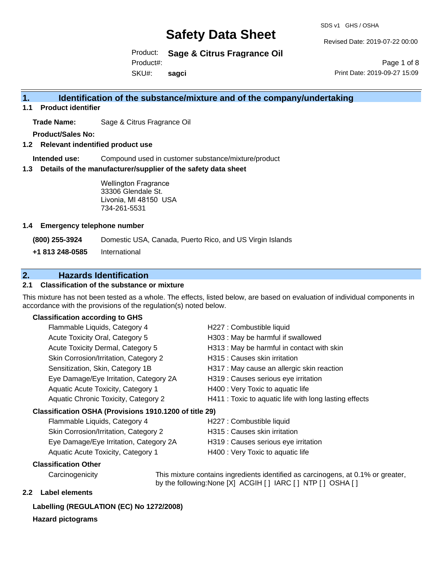SDS v1 GHS / OSHA

Revised Date: 2019-07-22 00:00

Product: **Sage & Citrus Fragrance Oil**  Product#:

SKU#: **sagci**

Page 1 of 8 Print Date: 2019-09-27 15:09

### **1. Identification of the substance/mixture and of the company/undertaking**

**1.1 Product identifier**

**Trade Name:** Sage & Citrus Fragrance Oil

**Product/Sales No:**

**1.2 Relevant indentified product use**

**Intended use:** Compound used in customer substance/mixture/product

**1.3 Details of the manufacturer/supplier of the safety data sheet**

Wellington Fragrance 33306 Glendale St. Livonia, MI 48150 USA 734-261-5531

#### **1.4 Emergency telephone number**

**(800) 255-3924** Domestic USA, Canada, Puerto Rico, and US Virgin Islands

**+1 813 248-0585** International

### **2. Hazards Identification**

#### **2.1 Classification of the substance or mixture**

This mixture has not been tested as a whole. The effects, listed below, are based on evaluation of individual components in accordance with the provisions of the regulation(s) noted below.

#### **Classification according to GHS**

| Flammable Liquids, Category 4                          | H227 : Combustible liquid                              |
|--------------------------------------------------------|--------------------------------------------------------|
| Acute Toxicity Oral, Category 5                        | H303 : May be harmful if swallowed                     |
| Acute Toxicity Dermal, Category 5                      | H313 : May be harmful in contact with skin             |
| Skin Corrosion/Irritation, Category 2                  | H315 : Causes skin irritation                          |
| Sensitization, Skin, Category 1B                       | H317 : May cause an allergic skin reaction             |
| Eye Damage/Eye Irritation, Category 2A                 | H319 : Causes serious eye irritation                   |
| Aquatic Acute Toxicity, Category 1                     | H400 : Very Toxic to aquatic life                      |
| Aquatic Chronic Toxicity, Category 2                   | H411 : Toxic to aquatic life with long lasting effects |
| Classification OSHA (Provisions 1910.1200 of title 29) |                                                        |
| Flammable Liquids, Category 4                          | H227 : Combustible liquid                              |
|                                                        |                                                        |

| <b>Flammable Liquids, Category 4</b>   | HZZ / : Compustible liquid           |
|----------------------------------------|--------------------------------------|
| Skin Corrosion/Irritation, Category 2  | H315 : Causes skin irritation        |
| Eye Damage/Eye Irritation, Category 2A | H319 : Causes serious eye irritation |
| Aquatic Acute Toxicity, Category 1     | H400 : Very Toxic to aquatic life    |

#### **Classification Other**

Carcinogenicity This mixture contains ingredients identified as carcinogens, at 0.1% or greater, by the following:None [X] ACGIH [ ] IARC [ ] NTP [ ] OSHA [ ]

#### **2.2 Label elements**

### **Labelling (REGULATION (EC) No 1272/2008)**

#### **Hazard pictograms**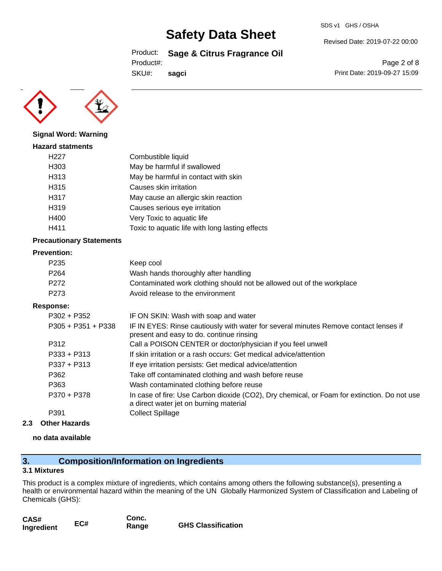Product: **Sage & Citrus Fragrance Oil** 

Product#:

**sagci**

SKU#:

**Signal Word: Warning**

| <b>Hazard statments</b> |                                                 |
|-------------------------|-------------------------------------------------|
| H <sub>22</sub> 7       | Combustible liquid                              |
| H303                    | May be harmful if swallowed                     |
| H313                    | May be harmful in contact with skin             |
| H315                    | Causes skin irritation                          |
| H317                    | May cause an allergic skin reaction             |
| H319                    | Causes serious eye irritation                   |
| H400                    | Very Toxic to aquatic life                      |
| H411                    | Toxic to aquatic life with long lasting effects |
|                         |                                                 |

#### **Precautionary Statements**

#### **Prevention:**

| P <sub>235</sub> | Keep cool                                                             |
|------------------|-----------------------------------------------------------------------|
| P <sub>264</sub> | Wash hands thoroughly after handling                                  |
| P <sub>272</sub> | Contaminated work clothing should not be allowed out of the workplace |
| P <sub>273</sub> | Avoid release to the environment                                      |

#### **Response:**

| $P302 + P352$        | IF ON SKIN: Wash with soap and water                                                                                                  |
|----------------------|---------------------------------------------------------------------------------------------------------------------------------------|
| $P305 + P351 + P338$ | IF IN EYES: Rinse cautiously with water for several minutes Remove contact lenses if<br>present and easy to do. continue rinsing      |
| P312                 | Call a POISON CENTER or doctor/physician if you feel unwell                                                                           |
| $P333 + P313$        | If skin irritation or a rash occurs: Get medical advice/attention                                                                     |
| $P337 + P313$        | If eye irritation persists: Get medical advice/attention                                                                              |
| P362                 | Take off contaminated clothing and wash before reuse                                                                                  |
| P363                 | Wash contaminated clothing before reuse                                                                                               |
| P370 + P378          | In case of fire: Use Carbon dioxide (CO2), Dry chemical, or Foam for extinction. Do not use<br>a direct water jet on burning material |
| P391                 | <b>Collect Spillage</b>                                                                                                               |
|                      |                                                                                                                                       |

#### **2.3 Other Hazards**

#### **no data available**

### **3. Composition/Information on Ingredients**

#### **3.1 Mixtures**

This product is a complex mixture of ingredients, which contains among others the following substance(s), presenting a health or environmental hazard within the meaning of the UN Globally Harmonized System of Classification and Labeling of Chemicals (GHS):

| CAS#       |     | Conc. |                           |
|------------|-----|-------|---------------------------|
| Ingredient | EC# | Range | <b>GHS Classification</b> |

SDS v1 GHS / OSHA

Revised Date: 2019-07-22 00:00

Page 2 of 8 Print Date: 2019-09-27 15:09

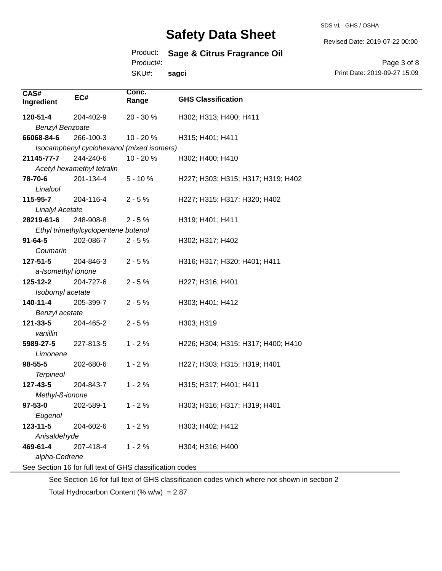Product: **Sage & Citrus Fragrance Oil** 

Product#:

SKU#: **sagci** Revised Date: 2019-07-22 00:00

Page 3 of 8 Print Date: 2019-09-27 15:09

| CAS#<br>Ingredient     | EC#                                 | Conc.<br>Range                                           | <b>GHS Classification</b>          |
|------------------------|-------------------------------------|----------------------------------------------------------|------------------------------------|
| 120-51-4               | 204-402-9                           | 20 - 30 %                                                | H302; H313; H400; H411             |
| <b>Benzyl Benzoate</b> |                                     |                                                          |                                    |
| 66068-84-6             | 266-100-3                           | 10 - 20 %                                                | H315; H401; H411                   |
|                        |                                     | Isocamphenyl cyclohexanol (mixed isomers)                |                                    |
| 21145-77-7             | 244-240-6                           | 10 - 20 %                                                | H302; H400; H410                   |
|                        | Acetyl hexamethyl tetralin          |                                                          |                                    |
| 78-70-6                | 201-134-4                           | $5 - 10%$                                                | H227; H303; H315; H317; H319; H402 |
| Linalool               |                                     |                                                          |                                    |
| 115-95-7               | 204-116-4                           | $2 - 5%$                                                 | H227; H315; H317; H320; H402       |
| <b>Linalyl Acetate</b> |                                     |                                                          |                                    |
| 28219-61-6             | 248-908-8                           | $2 - 5%$                                                 | H319; H401; H411                   |
|                        | Ethyl trimethylcyclopentene butenol |                                                          |                                    |
| $91 - 64 - 5$          | 202-086-7                           | $2 - 5%$                                                 | H302; H317; H402                   |
| Coumarin               |                                     |                                                          |                                    |
| 127-51-5               | 204-846-3                           | $2 - 5%$                                                 | H316; H317; H320; H401; H411       |
| a-Isomethyl ionone     |                                     |                                                          |                                    |
| 125-12-2               | 204-727-6                           | $2 - 5%$                                                 | H227; H316; H401                   |
| Isobornyl acetate      |                                     |                                                          |                                    |
| 140-11-4               | 205-399-7                           | $2 - 5%$                                                 | H303; H401; H412                   |
| Benzyl acetate         |                                     |                                                          |                                    |
| 121-33-5               | 204-465-2                           | $2 - 5%$                                                 | H303; H319                         |
| vanillin               |                                     |                                                          |                                    |
| 5989-27-5              | 227-813-5                           | $1 - 2%$                                                 | H226; H304; H315; H317; H400; H410 |
| Limonene               |                                     |                                                          |                                    |
| 98-55-5                | 202-680-6                           | $1 - 2%$                                                 | H227; H303; H315; H319; H401       |
| <b>Terpineol</b>       |                                     |                                                          |                                    |
| 127-43-5               | 204-843-7                           | $1 - 2%$                                                 | H315; H317; H401; H411             |
| Methyl-ß-ionone        |                                     |                                                          |                                    |
| 97-53-0                | 202-589-1                           | $1 - 2%$                                                 | H303; H316; H317; H319; H401       |
| Eugenol                |                                     |                                                          |                                    |
| 123-11-5               | 204-602-6                           | $1 - 2%$                                                 | H303; H402; H412                   |
| Anisaldehyde           |                                     |                                                          |                                    |
| 469-61-4               | 207-418-4                           | $1 - 2%$                                                 | H304; H316; H400                   |
| alpha-Cedrene          |                                     |                                                          |                                    |
|                        |                                     | See Section 16 for full text of GHS classification codes |                                    |
|                        |                                     |                                                          |                                    |

See Section 16 for full text of GHS classification codes which where not shown in section 2

Total Hydrocarbon Content (%  $w/w$ ) = 2.87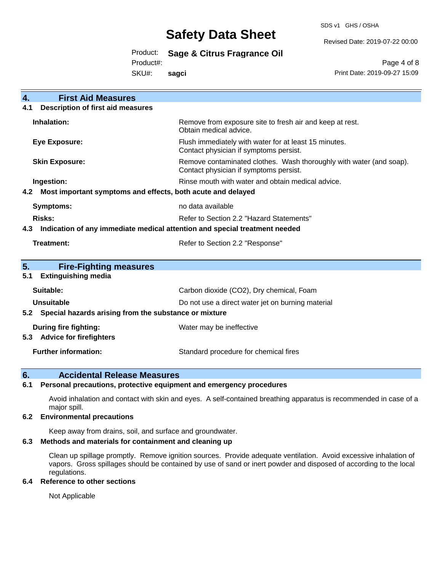SDS v1 GHS / OSHA

Revised Date: 2019-07-22 00:00

Product: **Sage & Citrus Fragrance Oil** 

Product#:

SKU#: **sagci**

Page 4 of 8 Print Date: 2019-09-27 15:09

| <b>First Aid Measures</b><br>$\overline{4}$ .                                     |                                                                                                               |  |
|-----------------------------------------------------------------------------------|---------------------------------------------------------------------------------------------------------------|--|
| <b>Description of first aid measures</b><br>4.1                                   |                                                                                                               |  |
| Inhalation:                                                                       | Remove from exposure site to fresh air and keep at rest.<br>Obtain medical advice.                            |  |
| <b>Eye Exposure:</b>                                                              | Flush immediately with water for at least 15 minutes.<br>Contact physician if symptoms persist.               |  |
| <b>Skin Exposure:</b>                                                             | Remove contaminated clothes. Wash thoroughly with water (and soap).<br>Contact physician if symptoms persist. |  |
| Ingestion:                                                                        | Rinse mouth with water and obtain medical advice.                                                             |  |
| Most important symptoms and effects, both acute and delayed<br>4.2                |                                                                                                               |  |
| Symptoms:                                                                         | no data available                                                                                             |  |
| <b>Risks:</b>                                                                     | Refer to Section 2.2 "Hazard Statements"                                                                      |  |
| Indication of any immediate medical attention and special treatment needed<br>4.3 |                                                                                                               |  |
| Treatment:                                                                        | Refer to Section 2.2 "Response"                                                                               |  |
|                                                                                   |                                                                                                               |  |
| 5.<br><b>Fire-Fighting measures</b>                                               |                                                                                                               |  |
| <b>Extinguishing media</b><br>5.1                                                 |                                                                                                               |  |
| Suitable:                                                                         | Carbon dioxide (CO2), Dry chemical, Foam                                                                      |  |
| <b>Unsuitable</b>                                                                 | Do not use a direct water jet on burning material                                                             |  |
| Special hazards arising from the substance or mixture<br>5.2                      |                                                                                                               |  |
| During fire fighting:                                                             | Water may be ineffective                                                                                      |  |
| <b>Advice for firefighters</b><br>5.3                                             |                                                                                                               |  |
| <b>Further information:</b>                                                       | Standard procedure for chemical fires                                                                         |  |

### **6. Accidental Release Measures**

#### **6.1 Personal precautions, protective equipment and emergency procedures**

Avoid inhalation and contact with skin and eyes. A self-contained breathing apparatus is recommended in case of a major spill.

#### **6.2 Environmental precautions**

Keep away from drains, soil, and surface and groundwater.

#### **6.3 Methods and materials for containment and cleaning up**

Clean up spillage promptly. Remove ignition sources. Provide adequate ventilation. Avoid excessive inhalation of vapors. Gross spillages should be contained by use of sand or inert powder and disposed of according to the local regulations.

#### **6.4 Reference to other sections**

Not Applicable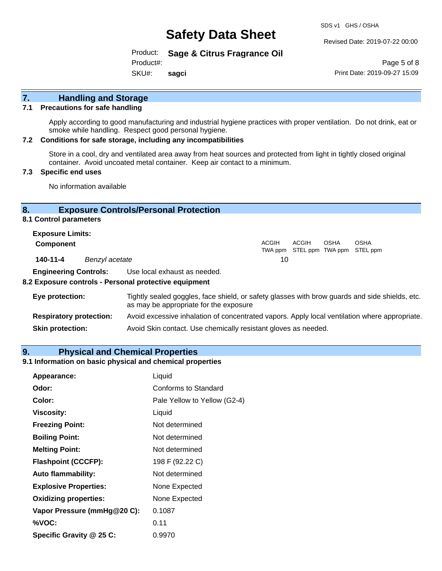SDS v1 GHS / OSHA

Revised Date: 2019-07-22 00:00

Product: **Sage & Citrus Fragrance Oil**  Product#:

SKU#: **sagci**

Page 5 of 8 Print Date: 2019-09-27 15:09

## **7. Handling and Storage**

#### **7.1 Precautions for safe handling**

Apply according to good manufacturing and industrial hygiene practices with proper ventilation. Do not drink, eat or smoke while handling. Respect good personal hygiene.

#### **7.2 Conditions for safe storage, including any incompatibilities**

Store in a cool, dry and ventilated area away from heat sources and protected from light in tightly closed original container. Avoid uncoated metal container. Keep air contact to a minimum.

#### **7.3 Specific end uses**

No information available

#### **8. Exposure Controls/Personal Protection**

**8.1 Control parameters**

| <b>Exposure Limits:</b><br><b>Component</b> |                | <b>ACGIH</b> | ACGIH | <b>OSHA</b> | <b>OSHA</b><br>TWA ppm STEL ppm TWA ppm STEL ppm |  |
|---------------------------------------------|----------------|--------------|-------|-------------|--------------------------------------------------|--|
| 140-11-4                                    | Benzyl acetate | 10           |       |             |                                                  |  |

**Engineering Controls:** Use local exhaust as needed.

#### **8.2 Exposure controls - Personal protective equipment**

| Eye protection:                | Tightly sealed goggles, face shield, or safety glasses with brow guards and side shields, etc.<br>as may be appropriate for the exposure |
|--------------------------------|------------------------------------------------------------------------------------------------------------------------------------------|
| <b>Respiratory protection:</b> | Avoid excessive inhalation of concentrated vapors. Apply local ventilation where appropriate.                                            |
| <b>Skin protection:</b>        | Avoid Skin contact. Use chemically resistant gloves as needed.                                                                           |

#### **9. Physical and Chemical Properties**

#### **9.1 Information on basic physical and chemical properties**

| Appearance:                  | Liquid                       |
|------------------------------|------------------------------|
| Odor:                        | Conforms to Standard         |
| Color:                       | Pale Yellow to Yellow (G2-4) |
| <b>Viscosity:</b>            | Liquid                       |
| <b>Freezing Point:</b>       | Not determined               |
| <b>Boiling Point:</b>        | Not determined               |
| <b>Melting Point:</b>        | Not determined               |
| <b>Flashpoint (CCCFP):</b>   | 198 F (92.22 C)              |
| <b>Auto flammability:</b>    | Not determined               |
| <b>Explosive Properties:</b> | None Expected                |
| <b>Oxidizing properties:</b> | None Expected                |
| Vapor Pressure (mmHg@20 C):  | 0.1087                       |
| %VOC:                        | 0.11                         |
| Specific Gravity @ 25 C:     | 0.9970                       |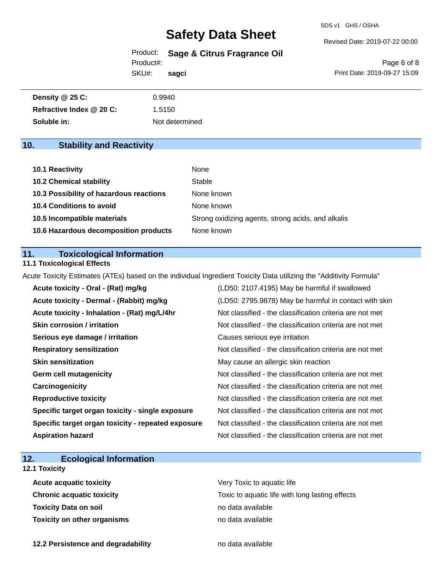SDS v1 GHS / OSHA

Revised Date: 2019-07-22 00:00

Product: **Sage & Citrus Fragrance Oil** 

Product#:

SKU#: **sagci**

#### Page 6 of 8 Print Date: 2019-09-27 15:09

| Density @ 25 C:          | 0.9940         |
|--------------------------|----------------|
| Refractive Index @ 20 C: | 1.5150         |
| Soluble in:              | Not determined |

### **10. Stability and Reactivity**

| 10.1 Reactivity                         | None                                               |
|-----------------------------------------|----------------------------------------------------|
| <b>10.2 Chemical stability</b>          | Stable                                             |
| 10.3 Possibility of hazardous reactions | None known                                         |
| 10.4 Conditions to avoid                | None known                                         |
| 10.5 Incompatible materials             | Strong oxidizing agents, strong acids, and alkalis |
| 10.6 Hazardous decomposition products   | None known                                         |

#### **11. Toxicological Information**

#### **11.1 Toxicological Effects**

Acute Toxicity Estimates (ATEs) based on the individual Ingredient Toxicity Data utilizing the "Additivity Formula"

| Acute toxicity - Oral - (Rat) mg/kg                | (LD50: 2107.4195) May be harmful if swallowed            |
|----------------------------------------------------|----------------------------------------------------------|
| Acute toxicity - Dermal - (Rabbit) mg/kg           | (LD50: 2795.9878) May be harmful in contact with skin    |
| Acute toxicity - Inhalation - (Rat) mg/L/4hr       | Not classified - the classification criteria are not met |
| <b>Skin corrosion / irritation</b>                 | Not classified - the classification criteria are not met |
| Serious eye damage / irritation                    | Causes serious eye irritation                            |
| <b>Respiratory sensitization</b>                   | Not classified - the classification criteria are not met |
| <b>Skin sensitization</b>                          | May cause an allergic skin reaction                      |
| <b>Germ cell mutagenicity</b>                      | Not classified - the classification criteria are not met |
| Carcinogenicity                                    | Not classified - the classification criteria are not met |
| <b>Reproductive toxicity</b>                       | Not classified - the classification criteria are not met |
| Specific target organ toxicity - single exposure   | Not classified - the classification criteria are not met |
| Specific target organ toxicity - repeated exposure | Not classified - the classification criteria are not met |
| <b>Aspiration hazard</b>                           | Not classified - the classification criteria are not met |

### **12. Ecological Information**

### **12.1 Toxicity**

| <b>Acute acquatic toxicity</b>   | Very Toxic to aquatic life                      |
|----------------------------------|-------------------------------------------------|
| <b>Chronic acquatic toxicity</b> | Toxic to aquatic life with long lasting effects |
| Toxicity Data on soil            | no data available                               |
| Toxicity on other organisms      | no data available                               |

**12.2 Persistence and degradability no data available**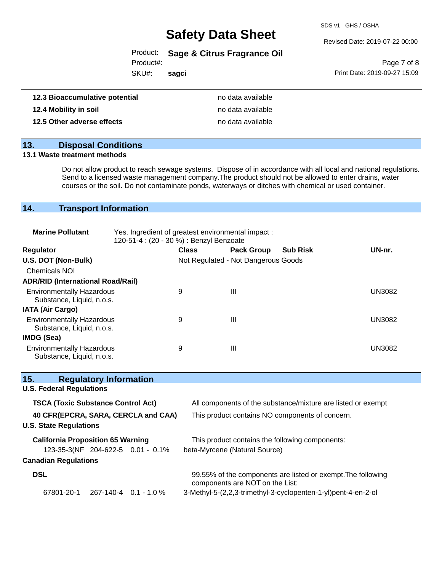SDS v1 GHS / OSHA

Revised Date: 2019-07-22 00:00

Product: **Sage & Citrus Fragrance Oil** 

Product#:

SKU#: **sagci**

Page 7 of 8 Print Date: 2019-09-27 15:09

| 12.3 Bioaccumulative potential | no data available |
|--------------------------------|-------------------|
| 12.4 Mobility in soil          | no data available |
| 12.5 Other adverse effects     | no data available |

## **13. Disposal Conditions**

#### **13.1 Waste treatment methods**

Do not allow product to reach sewage systems. Dispose of in accordance with all local and national regulations. Send to a licensed waste management company.The product should not be allowed to enter drains, water courses or the soil. Do not contaminate ponds, waterways or ditches with chemical or used container.

### **14. Transport Information**

| <b>Marine Pollutant</b>                                       | Yes. Ingredient of greatest environmental impact:<br>120-51-4 : (20 - 30 %) : Benzyl Benzoate |              |                                     |                 |               |
|---------------------------------------------------------------|-----------------------------------------------------------------------------------------------|--------------|-------------------------------------|-----------------|---------------|
| <b>Regulator</b>                                              |                                                                                               | <b>Class</b> | <b>Pack Group</b>                   | <b>Sub Risk</b> | UN-nr.        |
| U.S. DOT (Non-Bulk)                                           |                                                                                               |              | Not Regulated - Not Dangerous Goods |                 |               |
| <b>Chemicals NOI</b>                                          |                                                                                               |              |                                     |                 |               |
| <b>ADR/RID (International Road/Rail)</b>                      |                                                                                               |              |                                     |                 |               |
| <b>Environmentally Hazardous</b><br>Substance, Liquid, n.o.s. |                                                                                               | 9            | Ш                                   |                 | <b>UN3082</b> |
| <b>IATA (Air Cargo)</b>                                       |                                                                                               |              |                                     |                 |               |
| <b>Environmentally Hazardous</b><br>Substance, Liquid, n.o.s. |                                                                                               | 9            | Ш                                   |                 | <b>UN3082</b> |
| <b>IMDG (Sea)</b>                                             |                                                                                               |              |                                     |                 |               |
| <b>Environmentally Hazardous</b><br>Substance, Liquid, n.o.s. |                                                                                               | 9            | Ш                                   |                 | UN3082        |

| 15.<br><b>Regulatory Information</b>      |                                                                                                 |
|-------------------------------------------|-------------------------------------------------------------------------------------------------|
| <b>U.S. Federal Regulations</b>           |                                                                                                 |
| <b>TSCA (Toxic Substance Control Act)</b> | All components of the substance/mixture are listed or exempt                                    |
| 40 CFR(EPCRA, SARA, CERCLA and CAA)       | This product contains NO components of concern.                                                 |
| <b>U.S. State Regulations</b>             |                                                                                                 |
| <b>California Proposition 65 Warning</b>  | This product contains the following components:                                                 |
| 123-35-3(NF 204-622-5 0.01 - 0.1%         | beta-Myrcene (Natural Source)                                                                   |
| <b>Canadian Regulations</b>               |                                                                                                 |
| <b>DSL</b>                                | 99.55% of the components are listed or exempt. The following<br>components are NOT on the List: |
| 67801-20-1<br>267-140-4 0.1 - 1.0 %       | 3-Methyl-5-(2,2,3-trimethyl-3-cyclopenten-1-yl)pent-4-en-2-ol                                   |